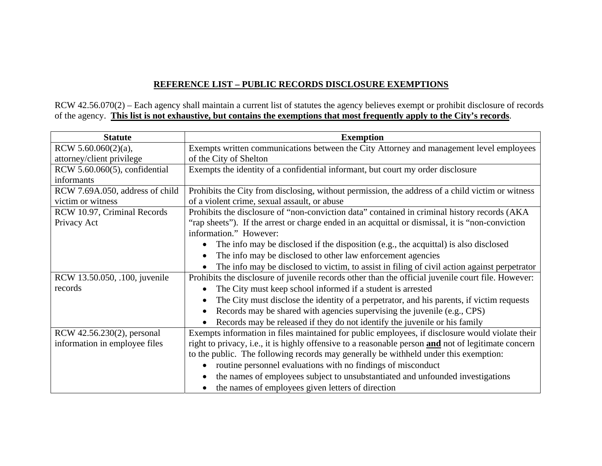## **REFERENCE LIST – PUBLIC RECORDS DISCLOSURE EXEMPTIONS**

RCW 42.56.070(2) – Each agency shall maintain a current list of statutes the agency believes exempt or prohibit disclosure of records of the agency. **This list is not exhaustive, but contains the exemptions that most frequently apply to the City's records**.

| <b>Statute</b>                  | <b>Exemption</b>                                                                                       |
|---------------------------------|--------------------------------------------------------------------------------------------------------|
| RCW 5.60.060(2)(a),             | Exempts written communications between the City Attorney and management level employees                |
| attorney/client privilege       | of the City of Shelton                                                                                 |
| RCW 5.60.060(5), confidential   | Exempts the identity of a confidential informant, but court my order disclosure                        |
| informants                      |                                                                                                        |
| RCW 7.69A.050, address of child | Prohibits the City from disclosing, without permission, the address of a child victim or witness       |
| victim or witness               | of a violent crime, sexual assault, or abuse                                                           |
| RCW 10.97, Criminal Records     | Prohibits the disclosure of "non-conviction data" contained in criminal history records (AKA           |
| Privacy Act                     | "rap sheets"). If the arrest or charge ended in an acquittal or dismissal, it is "non-conviction"      |
|                                 | information." However:                                                                                 |
|                                 | The info may be disclosed if the disposition (e.g., the acquittal) is also disclosed<br>$\bullet$      |
|                                 | The info may be disclosed to other law enforcement agencies<br>$\bullet$                               |
|                                 | The info may be disclosed to victim, to assist in filing of civil action against perpetrator           |
| RCW 13.50.050, .100, juvenile   | Prohibits the disclosure of juvenile records other than the official juvenile court file. However:     |
| records                         | The City must keep school informed if a student is arrested<br>$\bullet$                               |
|                                 | The City must disclose the identity of a perpetrator, and his parents, if victim requests<br>$\bullet$ |
|                                 | Records may be shared with agencies supervising the juvenile (e.g., CPS)<br>$\bullet$                  |
|                                 | Records may be released if they do not identify the juvenile or his family<br>$\bullet$                |
| RCW 42.56.230(2), personal      | Exempts information in files maintained for public employees, if disclosure would violate their        |
| information in employee files   | right to privacy, i.e., it is highly offensive to a reasonable person and not of legitimate concern    |
|                                 | to the public. The following records may generally be withheld under this exemption:                   |
|                                 | routine personnel evaluations with no findings of misconduct<br>$\bullet$                              |
|                                 | the names of employees subject to unsubstantiated and unfounded investigations<br>$\bullet$            |
|                                 | the names of employees given letters of direction                                                      |